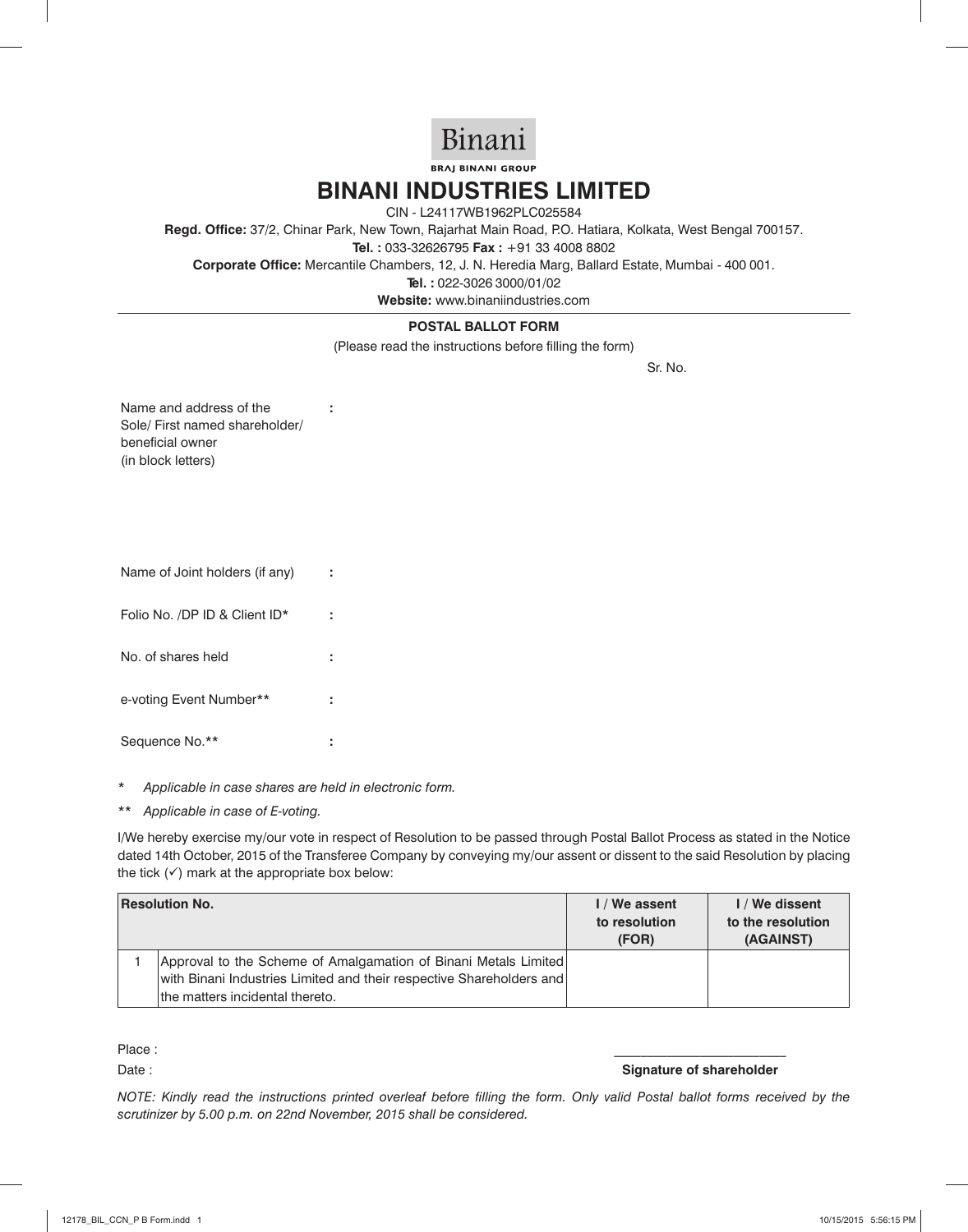

**BRAJ BINANI GROUP** 

## **BINANI INDUSTRIES LIMITED**

CIN - L24117WB1962PLC025584

**Regd. Office:** 37/2, Chinar Park, New Town, Rajarhat Main Road, P.O. Hatiara, Kolkata, West Bengal 700157.

**Tel. :** 033-32626795 **Fax :** +91 33 4008 8802

**Corporate Office:** Mercantile Chambers, 12, J. N. Heredia Marg, Ballard Estate, Mumbai - 400 001.

**Tel. :** 022-3026 3000/01/02

**Website:** www.binaniindustries.com

## **POSTAL BALLOT FORM**

(Please read the instructions before filling the form)

Sr. No.

Name and address of the Sole/ First named shareholder/ beneficial owner (in block letters)

**:**

| Name of Joint holders (if any) |  |
|--------------------------------|--|
| Folio No. /DP ID & Client ID*  |  |
| No. of shares held             |  |
| e-voting Event Number**        |  |
| Sequence No.**                 |  |

- *\* Applicable in case shares are held in electronic form.*
- *\*\* Applicable in case of E-voting.*

I/We hereby exercise my/our vote in respect of Resolution to be passed through Postal Ballot Process as stated in the Notice dated 14th October, 2015 of the Transferee Company by conveying my/our assent or dissent to the said Resolution by placing the tick  $(\checkmark)$  mark at the appropriate box below:

| <b>Resolution No.</b>                                                                                                                                                      | I / We assent<br>to resolution<br>(FOR) | I / We dissent<br>to the resolution<br>(AGAINST) |
|----------------------------------------------------------------------------------------------------------------------------------------------------------------------------|-----------------------------------------|--------------------------------------------------|
| Approval to the Scheme of Amalgamation of Binani Metals Limited<br>with Binani Industries Limited and their respective Shareholders and<br>the matters incidental thereto. |                                         |                                                  |

Place : \_\_\_\_\_\_\_\_\_\_\_\_\_\_\_\_\_\_\_\_\_\_\_\_\_\_

Date : **Signature of shareholder Contract Contract Contract Contract Contract Contract Contract Contract Contract Contract Contract Contract Contract Contract Contract Contract Contract Contract Contract Contract Contrac** 

*NOTE: Kindly read the instructions printed overleaf before filling the form. Only valid Postal ballot forms received by the scrutinizer by 5.00 p.m. on 22nd November, 2015 shall be considered.*